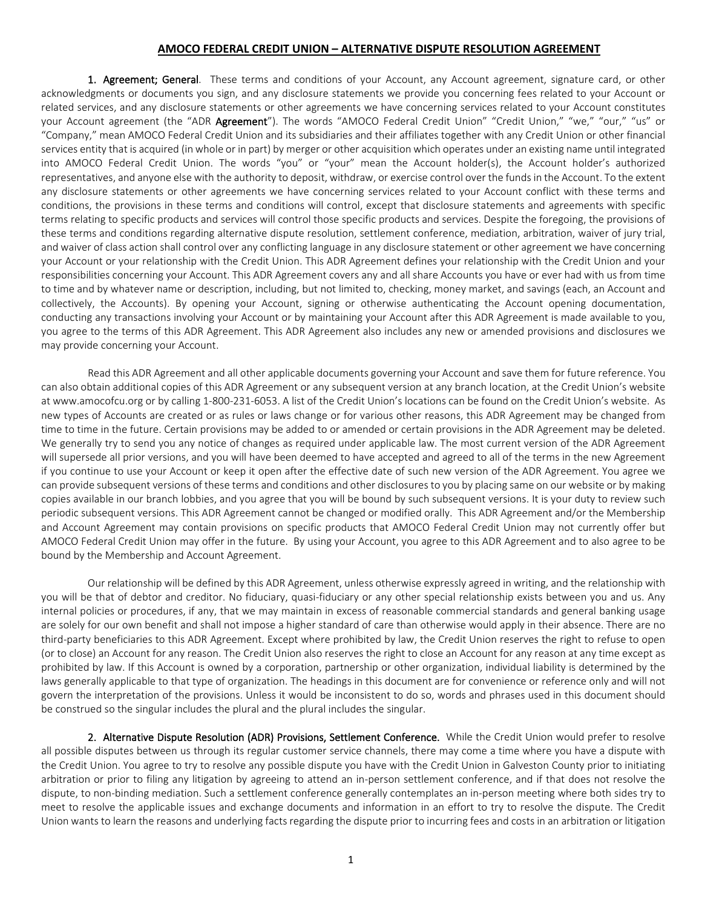## **AMOCO FEDERAL CREDIT UNION – ALTERNATIVE DISPUTE RESOLUTION AGREEMENT**

1. Agreement; General. These terms and conditions of your Account, any Account agreement, signature card, or other acknowledgments or documents you sign, and any disclosure statements we provide you concerning fees related to your Account or related services, and any disclosure statements or other agreements we have concerning services related to your Account constitutes your Account agreement (the "ADR Agreement"). The words "AMOCO Federal Credit Union" "Credit Union," "we," "our," "us" or "Company," mean AMOCO Federal Credit Union and its subsidiaries and their affiliates together with any Credit Union or other financial services entity that is acquired (in whole or in part) by merger or other acquisition which operates under an existing name until integrated into AMOCO Federal Credit Union. The words "you" or "your" mean the Account holder(s), the Account holder's authorized representatives, and anyone else with the authority to deposit, withdraw, or exercise control over the funds in the Account. To the extent any disclosure statements or other agreements we have concerning services related to your Account conflict with these terms and conditions, the provisions in these terms and conditions will control, except that disclosure statements and agreements with specific terms relating to specific products and services will control those specific products and services. Despite the foregoing, the provisions of these terms and conditions regarding alternative dispute resolution, settlement conference, mediation, arbitration, waiver of jury trial, and waiver of class action shall control over any conflicting language in any disclosure statement or other agreement we have concerning your Account or your relationship with the Credit Union. This ADR Agreement defines your relationship with the Credit Union and your responsibilities concerning your Account. This ADR Agreement covers any and all share Accounts you have or ever had with us from time to time and by whatever name or description, including, but not limited to, checking, money market, and savings (each, an Account and collectively, the Accounts). By opening your Account, signing or otherwise authenticating the Account opening documentation, conducting any transactions involving your Account or by maintaining your Account after this ADR Agreement is made available to you, you agree to the terms of this ADR Agreement. This ADR Agreement also includes any new or amended provisions and disclosures we may provide concerning your Account.

Read this ADR Agreement and all other applicable documents governing your Account and save them for future reference. You can also obtain additional copies of this ADR Agreement or any subsequent version at any branch location, at the Credit Union's website at www.amocofcu.org or by calling 1-800-231-6053. A list of the Credit Union's locations can be found on the Credit Union's website. As new types of Accounts are created or as rules or laws change or for various other reasons, this ADR Agreement may be changed from time to time in the future. Certain provisions may be added to or amended or certain provisions in the ADR Agreement may be deleted. We generally try to send you any notice of changes as required under applicable law. The most current version of the ADR Agreement will supersede all prior versions, and you will have been deemed to have accepted and agreed to all of the terms in the new Agreement if you continue to use your Account or keep it open after the effective date of such new version of the ADR Agreement. You agree we can provide subsequent versions of these terms and conditions and other disclosures to you by placing same on our website or by making copies available in our branch lobbies, and you agree that you will be bound by such subsequent versions. It is your duty to review such periodic subsequent versions. This ADR Agreement cannot be changed or modified orally. This ADR Agreement and/or the Membership and Account Agreement may contain provisions on specific products that AMOCO Federal Credit Union may not currently offer but AMOCO Federal Credit Union may offer in the future. By using your Account, you agree to this ADR Agreement and to also agree to be bound by the Membership and Account Agreement.

Our relationship will be defined by this ADR Agreement, unless otherwise expressly agreed in writing, and the relationship with you will be that of debtor and creditor. No fiduciary, quasi-fiduciary or any other special relationship exists between you and us. Any internal policies or procedures, if any, that we may maintain in excess of reasonable commercial standards and general banking usage are solely for our own benefit and shall not impose a higher standard of care than otherwise would apply in their absence. There are no third-party beneficiaries to this ADR Agreement. Except where prohibited by law, the Credit Union reserves the right to refuse to open (or to close) an Account for any reason. The Credit Union also reserves the right to close an Account for any reason at any time except as prohibited by law. If this Account is owned by a corporation, partnership or other organization, individual liability is determined by the laws generally applicable to that type of organization. The headings in this document are for convenience or reference only and will not govern the interpretation of the provisions. Unless it would be inconsistent to do so, words and phrases used in this document should be construed so the singular includes the plural and the plural includes the singular.

2. Alternative Dispute Resolution (ADR) Provisions, Settlement Conference. While the Credit Union would prefer to resolve all possible disputes between us through its regular customer service channels, there may come a time where you have a dispute with the Credit Union. You agree to try to resolve any possible dispute you have with the Credit Union in Galveston County prior to initiating arbitration or prior to filing any litigation by agreeing to attend an in-person settlement conference, and if that does not resolve the dispute, to non-binding mediation. Such a settlement conference generally contemplates an in-person meeting where both sides try to meet to resolve the applicable issues and exchange documents and information in an effort to try to resolve the dispute. The Credit Union wants to learn the reasons and underlying facts regarding the dispute prior to incurring fees and costs in an arbitration or litigation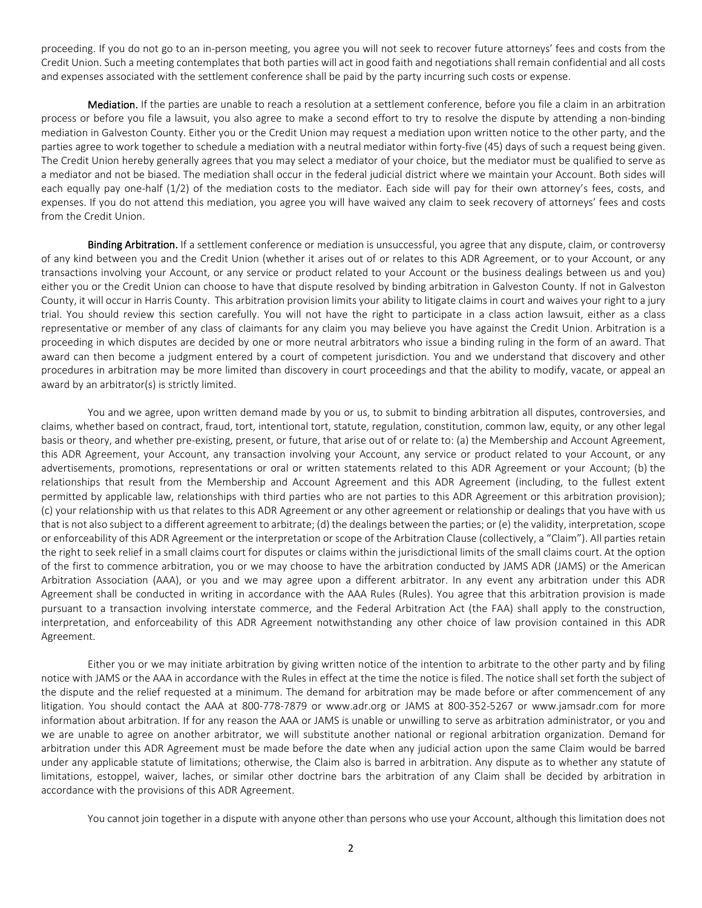proceeding. If you do not go to an in-person meeting, you agree you will not seek to recover future attorneys' fees and costs from the Credit Union. Such a meeting contemplates that both parties will act in good faith and negotiations shall remain confidential and all costs and expenses associated with the settlement conference shall be paid by the party incurring such costs or expense.

Mediation. If the parties are unable to reach a resolution at a settlement conference, before you file a claim in an arbitration process or before you file a lawsuit, you also agree to make a second effort to try to resolve the dispute by attending a non-binding mediation in Galveston County. Either you or the Credit Union may request a mediation upon written notice to the other party, and the parties agree to work together to schedule a mediation with a neutral mediator within forty-five (45) days of such a request being given. The Credit Union hereby generally agrees that you may select a mediator of your choice, but the mediator must be qualified to serve as a mediator and not be biased. The mediation shall occur in the federal judicial district where we maintain your Account. Both sides will each equally pay one-half (1/2) of the mediation costs to the mediator. Each side will pay for their own attorney's fees, costs, and expenses. If you do not attend this mediation, you agree you will have waived any claim to seek recovery of attorneys' fees and costs from the Credit Union.

Binding Arbitration. If a settlement conference or mediation is unsuccessful, you agree that any dispute, claim, or controversy of any kind between you and the Credit Union (whether it arises out of or relates to this ADR Agreement, or to your Account, or any transactions involving your Account, or any service or product related to your Account or the business dealings between us and you) either you or the Credit Union can choose to have that dispute resolved by binding arbitration in Galveston County. If not in Galveston County, it will occur in Harris County. This arbitration provision limits your ability to litigate claims in court and waives your right to a jury trial. You should review this section carefully. You will not have the right to participate in a class action lawsuit, either as a class representative or member of any class of claimants for any claim you may believe you have against the Credit Union. Arbitration is a proceeding in which disputes are decided by one or more neutral arbitrators who issue a binding ruling in the form of an award. That award can then become a judgment entered by a court of competent jurisdiction. You and we understand that discovery and other procedures in arbitration may be more limited than discovery in court proceedings and that the ability to modify, vacate, or appeal an award by an arbitrator(s) is strictly limited.

You and we agree, upon written demand made by you or us, to submit to binding arbitration all disputes, controversies, and claims, whether based on contract, fraud, tort, intentional tort, statute, regulation, constitution, common law, equity, or any other legal basis or theory, and whether pre-existing, present, or future, that arise out of or relate to: (a) the Membership and Account Agreement, this ADR Agreement, your Account, any transaction involving your Account, any service or product related to your Account, or any advertisements, promotions, representations or oral or written statements related to this ADR Agreement or your Account; (b) the relationships that result from the Membership and Account Agreement and this ADR Agreement (including, to the fullest extent permitted by applicable law, relationships with third parties who are not parties to this ADR Agreement or this arbitration provision); (c) your relationship with us that relates to this ADR Agreement or any other agreement or relationship or dealings that you have with us that is not also subject to a different agreement to arbitrate; (d) the dealings between the parties; or (e) the validity, interpretation, scope or enforceability of this ADR Agreement or the interpretation or scope of the Arbitration Clause (collectively, a "Claim"). All parties retain the right to seek relief in a small claims court for disputes or claims within the jurisdictional limits of the small claims court. At the option of the first to commence arbitration, you or we may choose to have the arbitration conducted by JAMS ADR (JAMS) or the American Arbitration Association (AAA), or you and we may agree upon a different arbitrator. In any event any arbitration under this ADR Agreement shall be conducted in writing in accordance with the AAA Rules (Rules). You agree that this arbitration provision is made pursuant to a transaction involving interstate commerce, and the Federal Arbitration Act (the FAA) shall apply to the construction, interpretation, and enforceability of this ADR Agreement notwithstanding any other choice of law provision contained in this ADR Agreement.

Either you or we may initiate arbitration by giving written notice of the intention to arbitrate to the other party and by filing notice with JAMS or the AAA in accordance with the Rules in effect at the time the notice is filed. The notice shall set forth the subject of the dispute and the relief requested at a minimum. The demand for arbitration may be made before or after commencement of any litigation. You should contact the AAA at 800-778-7879 or www.adr.org or JAMS at 800-352-5267 or www.jamsadr.com for more information about arbitration. If for any reason the AAA or JAMS is unable or unwilling to serve as arbitration administrator, or you and we are unable to agree on another arbitrator, we will substitute another national or regional arbitration organization. Demand for arbitration under this ADR Agreement must be made before the date when any judicial action upon the same Claim would be barred under any applicable statute of limitations; otherwise, the Claim also is barred in arbitration. Any dispute as to whether any statute of limitations, estoppel, waiver, laches, or similar other doctrine bars the arbitration of any Claim shall be decided by arbitration in accordance with the provisions of this ADR Agreement.

You cannot join together in a dispute with anyone other than persons who use your Account, although this limitation does not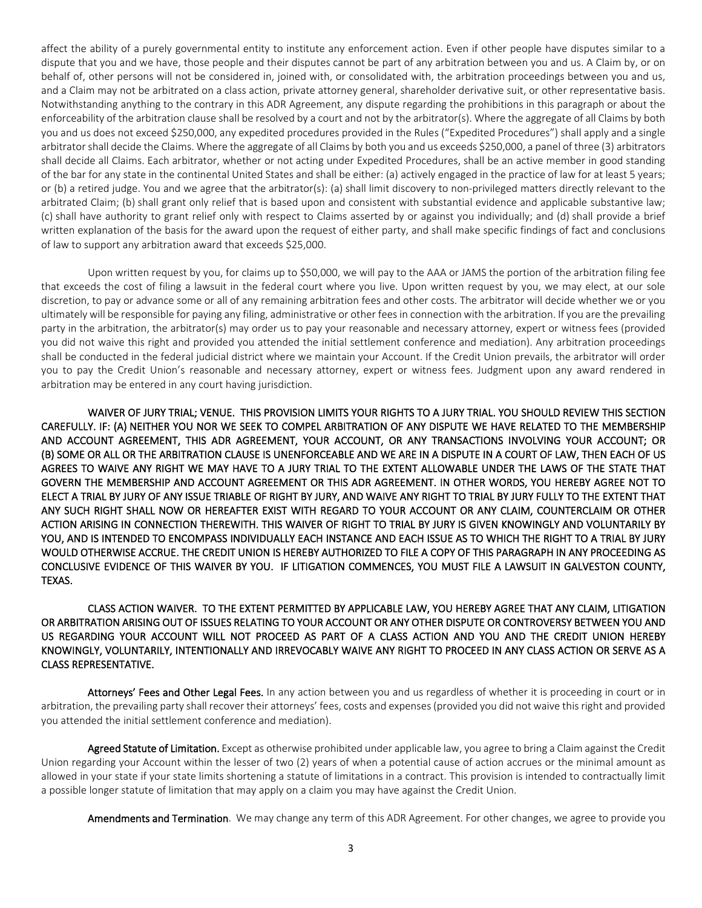affect the ability of a purely governmental entity to institute any enforcement action. Even if other people have disputes similar to a dispute that you and we have, those people and their disputes cannot be part of any arbitration between you and us. A Claim by, or on behalf of, other persons will not be considered in, joined with, or consolidated with, the arbitration proceedings between you and us, and a Claim may not be arbitrated on a class action, private attorney general, shareholder derivative suit, or other representative basis. Notwithstanding anything to the contrary in this ADR Agreement, any dispute regarding the prohibitions in this paragraph or about the enforceability of the arbitration clause shall be resolved by a court and not by the arbitrator(s). Where the aggregate of all Claims by both you and us does not exceed \$250,000, any expedited procedures provided in the Rules ("Expedited Procedures") shall apply and a single arbitrator shall decide the Claims. Where the aggregate of all Claims by both you and us exceeds \$250,000, a panel of three (3) arbitrators shall decide all Claims. Each arbitrator, whether or not acting under Expedited Procedures, shall be an active member in good standing of the bar for any state in the continental United States and shall be either: (a) actively engaged in the practice of law for at least 5 years; or (b) a retired judge. You and we agree that the arbitrator(s): (a) shall limit discovery to non-privileged matters directly relevant to the arbitrated Claim; (b) shall grant only relief that is based upon and consistent with substantial evidence and applicable substantive law; (c) shall have authority to grant relief only with respect to Claims asserted by or against you individually; and (d) shall provide a brief written explanation of the basis for the award upon the request of either party, and shall make specific findings of fact and conclusions of law to support any arbitration award that exceeds \$25,000.

Upon written request by you, for claims up to \$50,000, we will pay to the AAA or JAMS the portion of the arbitration filing fee that exceeds the cost of filing a lawsuit in the federal court where you live. Upon written request by you, we may elect, at our sole discretion, to pay or advance some or all of any remaining arbitration fees and other costs. The arbitrator will decide whether we or you ultimately will be responsible for paying any filing, administrative or other fees in connection with the arbitration. If you are the prevailing party in the arbitration, the arbitrator(s) may order us to pay your reasonable and necessary attorney, expert or witness fees (provided you did not waive this right and provided you attended the initial settlement conference and mediation). Any arbitration proceedings shall be conducted in the federal judicial district where we maintain your Account. If the Credit Union prevails, the arbitrator will order you to pay the Credit Union's reasonable and necessary attorney, expert or witness fees. Judgment upon any award rendered in arbitration may be entered in any court having jurisdiction.

WAIVER OF JURY TRIAL; VENUE. THIS PROVISION LIMITS YOUR RIGHTS TO A JURY TRIAL. YOU SHOULD REVIEW THIS SECTION CAREFULLY. IF: (A) NEITHER YOU NOR WE SEEK TO COMPEL ARBITRATION OF ANY DISPUTE WE HAVE RELATED TO THE MEMBERSHIP AND ACCOUNT AGREEMENT, THIS ADR AGREEMENT, YOUR ACCOUNT, OR ANY TRANSACTIONS INVOLVING YOUR ACCOUNT; OR (B) SOME OR ALL OR THE ARBITRATION CLAUSE IS UNENFORCEABLE AND WE ARE IN A DISPUTE IN A COURT OF LAW, THEN EACH OF US AGREES TO WAIVE ANY RIGHT WE MAY HAVE TO A JURY TRIAL TO THE EXTENT ALLOWABLE UNDER THE LAWS OF THE STATE THAT GOVERN THE MEMBERSHIP AND ACCOUNT AGREEMENT OR THIS ADR AGREEMENT. IN OTHER WORDS, YOU HEREBY AGREE NOT TO ELECT A TRIAL BY JURY OF ANY ISSUE TRIABLE OF RIGHT BY JURY, AND WAIVE ANY RIGHT TO TRIAL BY JURY FULLY TO THE EXTENT THAT ANY SUCH RIGHT SHALL NOW OR HEREAFTER EXIST WITH REGARD TO YOUR ACCOUNT OR ANY CLAIM, COUNTERCLAIM OR OTHER ACTION ARISING IN CONNECTION THEREWITH. THIS WAIVER OF RIGHT TO TRIAL BY JURY IS GIVEN KNOWINGLY AND VOLUNTARILY BY YOU, AND IS INTENDED TO ENCOMPASS INDIVIDUALLY EACH INSTANCE AND EACH ISSUE AS TO WHICH THE RIGHT TO A TRIAL BY JURY WOULD OTHERWISE ACCRUE. THE CREDIT UNION IS HEREBY AUTHORIZED TO FILE A COPY OF THIS PARAGRAPH IN ANY PROCEEDING AS CONCLUSIVE EVIDENCE OF THIS WAIVER BY YOU. IF LITIGATION COMMENCES, YOU MUST FILE A LAWSUIT IN GALVESTON COUNTY, TEXAS.

CLASS ACTION WAIVER. TO THE EXTENT PERMITTED BY APPLICABLE LAW, YOU HEREBY AGREE THAT ANY CLAIM, LITIGATION OR ARBITRATION ARISING OUT OF ISSUES RELATING TO YOUR ACCOUNT OR ANY OTHER DISPUTE OR CONTROVERSY BETWEEN YOU AND US REGARDING YOUR ACCOUNT WILL NOT PROCEED AS PART OF A CLASS ACTION AND YOU AND THE CREDIT UNION HEREBY KNOWINGLY, VOLUNTARILY, INTENTIONALLY AND IRREVOCABLY WAIVE ANY RIGHT TO PROCEED IN ANY CLASS ACTION OR SERVE AS A CLASS REPRESENTATIVE.

Attorneys' Fees and Other Legal Fees. In any action between you and us regardless of whether it is proceeding in court or in arbitration, the prevailing party shall recover their attorneys' fees, costs and expenses (provided you did not waive this right and provided you attended the initial settlement conference and mediation).

Agreed Statute of Limitation. Except as otherwise prohibited under applicable law, you agree to bring a Claim against the Credit Union regarding your Account within the lesser of two (2) years of when a potential cause of action accrues or the minimal amount as allowed in your state if your state limits shortening a statute of limitations in a contract. This provision is intended to contractually limit a possible longer statute of limitation that may apply on a claim you may have against the Credit Union.

Amendments and Termination. We may change any term of this ADR Agreement. For other changes, we agree to provide you